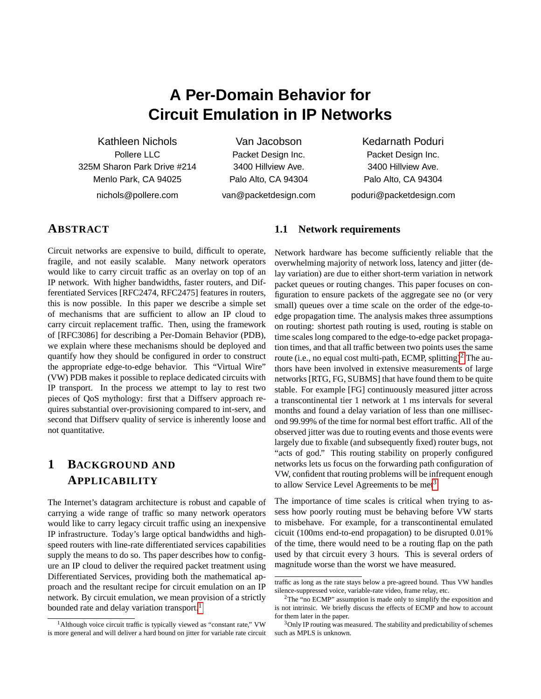# **A Per-Domain Behavior for Circuit Emulation in IP Networks**

Kathleen Nichols Pollere LLC 325M Sharon Park Drive #214 Menlo Park, CA 94025 nichols@pollere.com

Van Jacobson Packet Design Inc. 3400 Hillview Ave. Palo Alto, CA 94304

van@packetdesign.com

Kedarnath Poduri Packet Design Inc. 3400 Hillview Ave. Palo Alto, CA 94304 poduri@packetdesign.com

## **ABSTRACT**

Circuit networks are expensive to build, difficult to operate, fragile, and not easily scalable. Many network operators would like to carry circuit traffic as an overlay on top of an IP network. With higher bandwidths, faster routers, and Differentiated Services [RFC2474, RFC2475] features in routers, this is now possible. In this paper we describe a simple set of mechanisms that are sufficient to allow an IP cloud to carry circuit replacement traffic. Then, using the framework of [RFC3086] for describing a Per-Domain Behavior (PDB), we explain where these mechanisms should be deployed and quantify how they should be configured in order to construct the appropriate edge-to-edge behavior. This "Virtual Wire" (VW) PDB makes it possible to replace dedicated circuits with IP transport. In the process we attempt to lay to rest two pieces of QoS mythology: first that a Diffserv approach requires substantial over-provisioning compared to int-serv, and second that Diffserv quality of service is inherently loose and not quantitative.

## **1 BACKGROUND AND APPLICABILITY**

The Internet's datagram architecture is robust and capable of carrying a wide range of traffic so many network operators would like to carry legacy circuit traffic using an inexpensive IP infrastructure. Today's large optical bandwidths and highspeed routers with line-rate differentiated services capabilities supply the means to do so. Ths paper describes how to configure an IP cloud to deliver the required packet treatment using Differentiated Services, providing both the mathematical approach and the resultant recipe for circuit emulation on an IP network. By circuit emulation, we mean provision of a strictly bounded rate and delay variation transport.<sup>[1](#page-0-0)</sup>

### **1.1 Network requirements**

Network hardware has become sufficiently reliable that the overwhelming majority of network loss, latency and jitter (delay variation) are due to either short-term variation in network packet queues or routing changes. This paper focuses on configuration to ensure packets of the aggregate see no (or very small) queues over a time scale on the order of the edge-toedge propagation time. The analysis makes three assumptions on routing: shortest path routing is used, routing is stable on time scales long compared to the edge-to-edge packet propagation times, and that all traffic between two points uses the same route (i.e., no equal cost multi-path, ECMP, splitting)<sup>[2](#page-0-1)</sup> The authors have been involved in extensive measurements of large networks [RTG, FG, SUBMS] that have found them to be quite stable. For example [FG] continuously measured jitter across a transcontinental tier 1 network at 1 ms intervals for several months and found a delay variation of less than one millisecond 99.99% of the time for normal best effort traffic. All of the observed jitter was due to routing events and those events were largely due to fixable (and subsequently fixed) router bugs, not "acts of god." This routing stability on properly configured networks lets us focus on the forwarding path configuration of VW, confident that routing problems will be infrequent enough to allow Service Level Agreements to be met<sup>[3](#page-0-2)</sup>.

The importance of time scales is critical when trying to assess how poorly routing must be behaving before VW starts to misbehave. For example, for a transcontinental emulated cicuit (100ms end-to-end propagation) to be disrupted 0.01% of the time, there would need to be a routing flap on the path used by that circuit every 3 hours. This is several orders of magnitude worse than the worst we have measured.

<span id="page-0-0"></span><sup>&</sup>lt;sup>1</sup>Although voice circuit traffic is typically viewed as "constant rate," VW is more general and will deliver a hard bound on jitter for variable rate circuit

traffic as long as the rate stays below a pre-agreed bound. Thus VW handles silence-suppressed voice, variable-rate video, frame relay, etc.

<span id="page-0-1"></span> $2$ The "no ECMP" assumption is made only to simplify the exposition and is not intrinsic. We briefly discuss the effects of ECMP and how to account for them later in the paper.

<span id="page-0-2"></span><sup>&</sup>lt;sup>3</sup>Only IP routing was measured. The stability and predictability of schemes such as MPLS is unknown.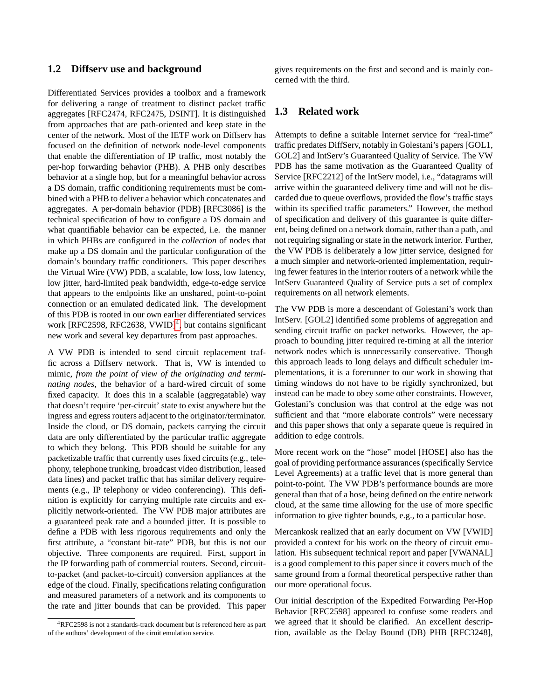#### **1.2 Diffserv use and background**

Differentiated Services provides a toolbox and a framework for delivering a range of treatment to distinct packet traffic aggregates [RFC2474, RFC2475, DSINT]. It is distinguished from approaches that are path-oriented and keep state in the center of the network. Most of the IETF work on Diffserv has focused on the definition of network node-level components that enable the differentiation of IP traffic, most notably the per-hop forwarding behavior (PHB). A PHB only describes behavior at a single hop, but for a meaningful behavior across a DS domain, traffic conditioning requirements must be combined with a PHB to deliver a behavior which concatenates and aggregates. A per-domain behavior (PDB) [RFC3086] is the technical specification of how to configure a DS domain and what quantifiable behavior can be expected, i.e. the manner in which PHBs are configured in the *collection* of nodes that make up a DS domain and the particular configuration of the domain's boundary traffic conditioners. This paper describes the Virtual Wire (VW) PDB, a scalable, low loss, low latency, low jitter, hard-limited peak bandwidth, edge-to-edge service that appears to the endpoints like an unshared, point-to-point connection or an emulated dedicated link. The development of this PDB is rooted in our own earlier differentiated services work [RFC2598, RFC2638, VWID]<sup>[4](#page-1-0)</sup>, but contains significant new work and several key departures from past approaches.

A VW PDB is intended to send circuit replacement traffic across a Diffserv network. That is, VW is intended to mimic, *from the point of view of the originating and terminating nodes,* the behavior of a hard-wired circuit of some fixed capacity. It does this in a scalable (aggregatable) way that doesn't require 'per-circuit' state to exist anywhere but the ingress and egress routers adjacent to the originator/terminator. Inside the cloud, or DS domain, packets carrying the circuit data are only differentiated by the particular traffic aggregate to which they belong. This PDB should be suitable for any packetizable traffic that currently uses fixed circuits (e.g., telephony, telephone trunking, broadcast video distribution, leased data lines) and packet traffic that has similar delivery requirements (e.g., IP telephony or video conferencing). This definition is explicitly for carrying multiple rate circuits and explicitly network-oriented. The VW PDB major attributes are a guaranteed peak rate and a bounded jitter. It is possible to define a PDB with less rigorous requirements and only the first attribute, a "constant bit-rate" PDB, but this is not our objective. Three components are required. First, support in the IP forwarding path of commercial routers. Second, circuitto-packet (and packet-to-circuit) conversion appliances at the edge of the cloud. Finally, specifications relating configuration and measured parameters of a network and its components to the rate and jitter bounds that can be provided. This paper

gives requirements on the first and second and is mainly concerned with the third.

#### **1.3 Related work**

Attempts to define a suitable Internet service for "real-time" traffic predates DiffServ, notably in Golestani's papers [GOL1, GOL2] and IntServ's Guaranteed Quality of Service. The VW PDB has the same motivation as the Guaranteed Quality of Service [RFC2212] of the IntServ model, i.e., "datagrams will arrive within the guaranteed delivery time and will not be discarded due to queue overflows, provided the flow's traffic stays within its specified traffic parameters." However, the method of specification and delivery of this guarantee is quite different, being defined on a network domain, rather than a path, and not requiring signaling or state in the network interior. Further, the VW PDB is deliberately a low jitter service, designed for a much simpler and network-oriented implementation, requiring fewer features in the interior routers of a network while the IntServ Guaranteed Quality of Service puts a set of complex requirements on all network elements.

The VW PDB is more a descendant of Golestani's work than IntServ. [GOL2] identified some problems of aggregation and sending circuit traffic on packet networks. However, the approach to bounding jitter required re-timing at all the interior network nodes which is unnecessarily conservative. Though this approach leads to long delays and difficult scheduler implementations, it is a forerunner to our work in showing that timing windows do not have to be rigidly synchronized, but instead can be made to obey some other constraints. However, Golestani's conclusion was that control at the edge was not sufficient and that "more elaborate controls" were necessary and this paper shows that only a separate queue is required in addition to edge controls.

More recent work on the "hose" model [HOSE] also has the goal of providing performance assurances (specifically Service Level Agreements) at a traffic level that is more general than point-to-point. The VW PDB's performance bounds are more general than that of a hose, being defined on the entire network cloud, at the same time allowing for the use of more specific information to give tighter bounds, e.g., to a particular hose.

Mercankosk realized that an early document on VW [VWID] provided a context for his work on the theory of circuit emulation. His subsequent technical report and paper [VWANAL] is a good complement to this paper since it covers much of the same ground from a formal theoretical perspective rather than our more operational focus.

Our initial description of the Expedited Forwarding Per-Hop Behavior [RFC2598] appeared to confuse some readers and we agreed that it should be clarified. An excellent description, available as the Delay Bound (DB) PHB [RFC3248],

<span id="page-1-0"></span><sup>4</sup>RFC2598 is not a standards-track document but is referenced here as part of the authors' development of the ciruit emulation service.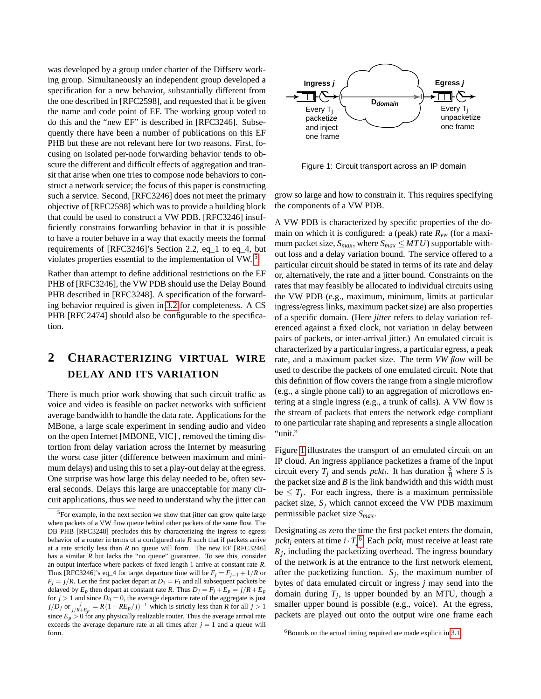was developed by a group under charter of the Diffserv working group. Simultaneously an independent group developed a specification for a new behavior, substantially different from the one described in [RFC2598], and requested that it be given the name and code point of EF. The working group voted to do this and the "new EF" is described in [RFC3246]. Subsequently there have been a number of publications on this EF PHB but these are not relevant here for two reasons. First, focusing on isolated per-node forwarding behavior tends to obscure the different and difficult effects of aggregation and transit that arise when one tries to compose node behaviors to construct a network service; the focus of this paper is constructing such a service. Second, [RFC3246] does not meet the primary objective of [RFC2598] which was to provide a building block that could be used to construct a VW PDB. [RFC3246] insufficiently constrains forwarding behavior in that it is possible to have a router behave in a way that exactly meets the formal requirements of [RFC3246]'s Section 2.2, eq\_1 to eq\_4, but violates properties essential to the implementation of VW. [5](#page-2-0)

Rather than attempt to define additional restrictions on the EF PHB of [RFC3246], the VW PDB should use the Delay Bound PHB described in [RFC3248]. A specification of the forwarding behavior required is given in [3.2](#page-10-0) for completeness. A CS PHB [RFC2474] should also be configurable to the specification.

## **2 CHARACTERIZING VIRTUAL WIRE DELAY AND ITS VARIATION**

There is much prior work showing that such circuit traffic as voice and video is feasible on packet networks with sufficient average bandwidth to handle the data rate. Applications for the MBone, a large scale experiment in sending audio and video on the open Internet [MBONE, VIC] , removed the timing distortion from delay variation across the Internet by measuring the worst case jitter (difference between maximum and minimum delays) and using this to set a play-out delay at the egress. One surprise was how large this delay needed to be, often several seconds. Delays this large are unacceptable for many circuit applications, thus we need to understand why the jitter can



<span id="page-2-1"></span>Figure 1: Circuit transport across an IP domain

grow so large and how to constrain it. This requires specifying the components of a VW PDB.

A VW PDB is characterized by specific properties of the domain on which it is configured: a (peak) rate *Rvw* (for a maximum packet size,  $S_{max}$ , where  $S_{max} \leq MTU$ ) supportable without loss and a delay variation bound. The service offered to a particular circuit should be stated in terms of its rate and delay or, alternatively, the rate and a jitter bound. Constraints on the rates that may feasibly be allocated to individual circuits using the VW PDB (e.g., maximum, minimum, limits at particular ingress/egress links, maximum packet size) are also properties of a specific domain. (Here *jitter* refers to delay variation referenced against a fixed clock, not variation in delay between pairs of packets, or inter-arrival jitter.) An emulated circuit is characterized by a particular ingress, a particular egress, a peak rate, and a maximum packet size. The term *VW flow* will be used to describe the packets of one emulated circuit. Note that this definition of flow covers the range from a single microflow (e.g., a single phone call) to an aggregation of microflows entering at a single ingress (e.g., a trunk of calls). A VW flow is the stream of packets that enters the network edge compliant to one particular rate shaping and represents a single allocation "unit."

Figure [1](#page-2-1) illustrates the transport of an emulated circuit on an IP cloud. An ingress appliance packetizes a frame of the input circuit every  $T_j$  and sends *pckt<sub>i</sub>*. It has duration  $\frac{S}{B}$  where *S* is the packet size and *B* is the link bandwidth and this width must be  $\leq T_j$ . For each ingress, there is a maximum permissible packet size,  $S_j$  which cannot exceed the VW PDB maximum permissible packet size *Smax*.

Designating as zero the time the first packet enters the domain,  $pckt_i$  enters at time  $i \cdot T_j$ <sup>[6](#page-2-2)</sup>. Each  $pckt_i$  must receive at least rate  $R_j$ , including the packetizing overhead. The ingress boundary of the network is at the entrance to the first network element, after the packetizing function.  $S_j$ , the maximum number of bytes of data emulated circuit or ingress *j* may send into the domain during *T<sup>j</sup>* , is upper bounded by an MTU, though a smaller upper bound is possible (e.g., voice). At the egress, packets are played out onto the output wire one frame each

<span id="page-2-0"></span><sup>&</sup>lt;sup>5</sup>For example, in the next section we show that jitter can grow quite large when packets of a VW flow queue behind other packets of the same flow. The DB PHB [RFC3248] precludes this by characterizing the ingress to egress behavior of a router in terms of a configured rate *R* such that if packets arrive at a rate strictly less than *R* no queue will form. The new EF [RFC3246] has a similar *R* but lacks the "no queue" guarantee. To see this, consider an output interface where packets of fixed length 1 arrive at constant rate *R*. Thus [RFC3246]'s eq\_4 for target departure time will be  $F_j = F_{j-1} + 1/R$  or  $F_j = j/R$ . Let the first packet depart at  $D_1 = F_1$  and all subsequent packets be delayed by  $E_p$  then depart at constant rate *R*. Thus  $D_j = F_j + E_p = j/R + E_p$ for  $j > 1$  and since  $D_0 = 0$ , the average departure rate of the aggregate is just  $j/D_j$  or  $\frac{j}{j/R + E_p} = R(1 + RE_p/j)^{-1}$  which is strictly less than *R* for all  $j > 1$ since  $E_p > 0$  for any physically realizable router. Thus the average arrival rate exceeds the average departure rate at all times after  $j = 1$  and a queue will form.

<span id="page-2-2"></span> $6B$ ounds on the actual timing required are made explicit in [3.1.](#page-9-0)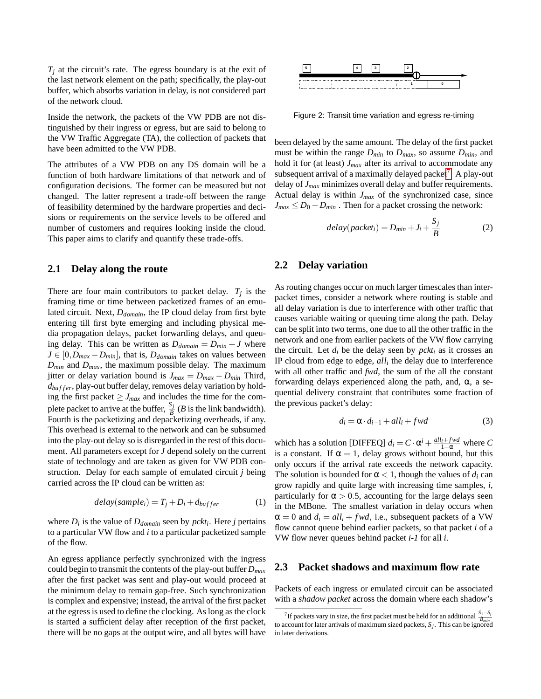$T_i$  at the circuit's rate. The egress boundary is at the exit of the last network element on the path; specifically, the play-out buffer, which absorbs variation in delay, is not considered part of the network cloud.

Inside the network, the packets of the VW PDB are not distinguished by their ingress or egress, but are said to belong to the VW Traffic Aggregate (TA), the collection of packets that have been admitted to the VW PDB.

The attributes of a VW PDB on any DS domain will be a function of both hardware limitations of that network and of configuration decisions. The former can be measured but not changed. The latter represent a trade-off between the range of feasibility determined by the hardware properties and decisions or requirements on the service levels to be offered and number of customers and requires looking inside the cloud. This paper aims to clarify and quantify these trade-offs.

#### **2.1 Delay along the route**

There are four main contributors to packet delay.  $T_j$  is the framing time or time between packetized frames of an emulated circuit. Next, *Ddomain*, the IP cloud delay from first byte entering till first byte emerging and including physical media propagation delays, packet forwarding delays, and queuing delay. This can be written as  $D_{domain} = D_{min} + J$  where  $J \in [0, D_{max} - D_{min}]$ , that is,  $D_{domain}$  takes on values between  $D_{min}$  and  $D_{max}$ , the maximum possible delay. The maximum jitter or delay variation bound is  $J_{max} = D_{max} - D_{min}$  Third, *d<sub>buffer</sub>*, play-out buffer delay, removes delay variation by holding the first packet  $\geq J_{max}$  and includes the time for the complete packet to arrive at the buffer,  $\frac{S_j}{B}$  (*B* is the link bandwidth). Fourth is the packetizing and depacketizing overheads, if any. This overhead is external to the network and can be subsumed into the play-out delay so is disregarded in the rest of this document. All parameters except for *J* depend solely on the current state of technology and are taken as given for VW PDB construction. Delay for each sample of emulated circuit *j* being carried across the IP cloud can be written as:

$$
delay(samplei) = Tj + Di + dbuffer
$$
 (1)

where  $D_i$  is the value of  $D_{domain}$  seen by  $pckt_i$ . Here *j* pertains to a particular VW flow and *i* to a particular packetized sample of the flow.

An egress appliance perfectly synchronized with the ingress could begin to transmit the contents of the play-out buffer *Dmax* after the first packet was sent and play-out would proceed at the minimum delay to remain gap-free. Such synchronization is complex and expensive; instead, the arrival of the first packet at the egress is used to define the clocking. As long as the clock is started a sufficient delay after reception of the first packet, there will be no gaps at the output wire, and all bytes will have



<span id="page-3-1"></span>Figure 2: Transit time variation and egress re-timing

been delayed by the same amount. The delay of the first packet must be within the range  $D_{min}$  to  $D_{max}$ , so assume  $D_{min}$ , and hold it for (at least) *Jmax* after its arrival to accommodate any subsequent arrival of a maximally delayed packet<sup>[7](#page-3-0)</sup>. A play-out delay of *Jmax* minimizes overall delay and buffer requirements. Actual delay is within *Jmax* of the synchronized case, since  $J_{max} \leq D_0 - D_{min}$ . Then for a packet crossing the network:

$$
delay(packet_i) = D_{min} + J_i + \frac{S_j}{B}
$$
 (2)

#### <span id="page-3-3"></span>**2.2 Delay variation**

As routing changes occur on much larger timescales than interpacket times, consider a network where routing is stable and all delay variation is due to interference with other traffic that causes variable waiting or queuing time along the path. Delay can be split into two terms, one due to all the other traffic in the network and one from earlier packets of the VW flow carrying the circuit. Let  $d_i$  be the delay seen by  $pckt_i$  as it crosses an IP cloud from edge to edge, *all<sup>i</sup>* the delay due to interference with all other traffic and *fwd*, the sum of the all the constant forwarding delays experienced along the path, and,  $\alpha$ , a sequential delivery constraint that contributes some fraction of the previous packet's delay:

<span id="page-3-2"></span>
$$
d_i = \alpha \cdot d_{i-1} + all_i + fwd \tag{3}
$$

which has a solution [DIFFEQ]  $d_i = C \cdot \alpha^i + \frac{all_i + fwd}{1 - \alpha}$  where *C* is a constant. If  $\alpha = 1$ , delay grows without bound, but this only occurs if the arrival rate exceeds the network capacity. The solution is bounded for  $\alpha < 1$ , though the values of  $d_i$  can grow rapidly and quite large with increasing time samples, *i*, particularly for  $\alpha > 0.5$ , accounting for the large delays seen in the MBone. The smallest variation in delay occurs when  $\alpha = 0$  and  $d_i = all_i + fwd$ , i.e., subsequent packets of a VW flow cannot queue behind earlier packets, so that packet *i* of a VW flow never queues behind packet *i-1* for all *i*.

### **2.3 Packet shadows and maximum flow rate**

Packets of each ingress or emulated circuit can be associated with a *shadow packet* across the domain where each shadow's

<span id="page-3-0"></span><sup>&</sup>lt;sup>7</sup>If packets vary in size, the first packet must be held for an additional  $\frac{S_j - S_i}{B_{min}}$ to account for later arrivals of maximum sized packets,  $S_j$ . This can be ignored in later derivations.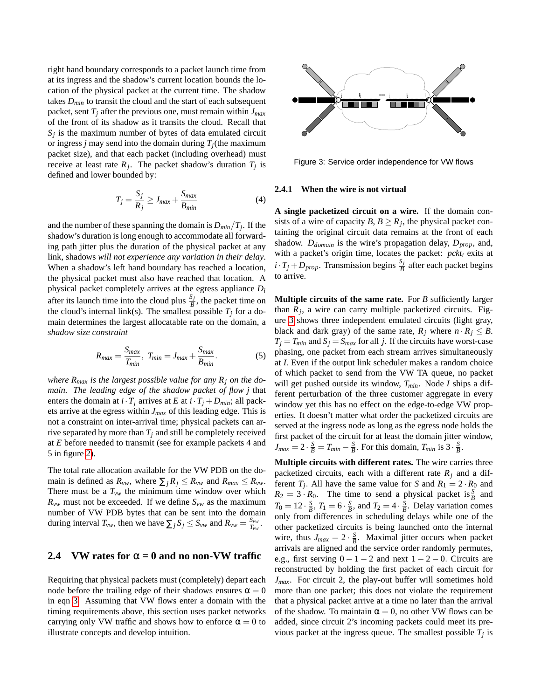right hand boundary corresponds to a packet launch time from at its ingress and the shadow's current location bounds the location of the physical packet at the current time. The shadow takes *Dmin* to transit the cloud and the start of each subsequent packet, sent *T<sup>j</sup>* after the previous one, must remain within *Jmax* of the front of its shadow as it transits the cloud. Recall that  $S_j$  is the maximum number of bytes of data emulated circuit or ingress *j* may send into the domain during  $T_i$  (the maximum packet size), and that each packet (including overhead) must receive at least rate *R<sup>j</sup>* . The packet shadow's duration *T<sup>j</sup>* is defined and lower bounded by:

<span id="page-4-3"></span>
$$
T_j = \frac{S_j}{R_j} \geq J_{max} + \frac{S_{max}}{B_{min}} \tag{4}
$$

and the number of these spanning the domain is *Dmin*/*T<sup>j</sup>* . If the shadow's duration is long enough to accommodate all forwarding path jitter plus the duration of the physical packet at any link, shadows *will not experience any variation in their delay*. When a shadow's left hand boundary has reached a location, the physical packet must also have reached that location. A physical packet completely arrives at the egress appliance *D<sup>i</sup>* after its launch time into the cloud plus  $\frac{S_j}{B}$ , the packet time on the cloud's internal link(s). The smallest possible  $T_i$  for a domain determines the largest allocatable rate on the domain, a *shadow size constraint*

<span id="page-4-1"></span>
$$
R_{max} = \frac{S_{max}}{T_{min}}, T_{min} = J_{max} + \frac{S_{max}}{B_{min}}.
$$
 (5)

*where*  $R_{max}$  *is the largest possible value for any*  $R_i$  *on the domain. The leading edge of the shadow packet of flow j* that enters the domain at  $i \cdot T_j$  arrives at *E* at  $i \cdot T_j + D_{min}$ ; all packets arrive at the egress within *Jmax* of this leading edge. This is not a constraint on inter-arrival time; physical packets can arrive separated by more than  $T_j$  and still be completely received at *E* before needed to transmit (see for example packets 4 and 5 in figure [2\)](#page-3-1).

The total rate allocation available for the VW PDB on the domain is defined as  $R_{vw}$ , where  $\sum_{i} R_i \leq R_{vw}$  and  $R_{max} \leq R_{vw}$ . There must be a  $T_{vw}$  the minimum time window over which  $R_{vw}$  must not be exceeded. If we define  $S_{vw}$  as the maximum number of VW PDB bytes that can be sent into the domain during interval  $T_{vw}$ , then we have  $\sum_j S_j \leq S_{vw}$  and  $R_{vw} = \frac{S_{vw}}{T_{vw}}$ .

#### **2.4** VW rates for  $\alpha = 0$  and no non-VW traffic

Requiring that physical packets must (completely) depart each node before the trailing edge of their shadows ensures  $\alpha = 0$ in eqn [3.](#page-3-2) Assuming that VW flows enter a domain with the timing requirements above, this section uses packet networks carrying only VW traffic and shows how to enforce  $\alpha = 0$  to illustrate concepts and develop intuition.



<span id="page-4-0"></span>Figure 3: Service order independence for VW flows

#### <span id="page-4-2"></span>**2.4.1 When the wire is not virtual**

**A single packetized circuit on a wire.** If the domain consists of a wire of capacity *B*,  $B \ge R_j$ , the physical packet containing the original circuit data remains at the front of each shadow. *Ddomain* is the wire's propagation delay, *Dprop*, and, with a packet's origin time, locates the packet: *pckt<sup>i</sup>* exits at  $i \cdot T_j + D_{prop}$ . Transmission begins  $\frac{S_j}{B}$  after each packet begins to arrive.

**Multiple circuits of the same rate.** For *B* sufficiently larger than  $R_j$ , a wire can carry multiple packetized circuits. Figure [3](#page-4-0) shows three independent emulated circuits (light gray, black and dark gray) of the same rate,  $R_j$  where  $n \cdot R_j \leq B$ .  $T_i = T_{min}$  and  $S_i = S_{max}$  for all *j*. If the circuits have worst-case phasing, one packet from each stream arrives simultaneously at *I.* Even if the output link scheduler makes a random choice of which packet to send from the VW TA queue, no packet will get pushed outside its window,  $T_{min}$ . Node *I* ships a different perturbation of the three customer aggregate in every window yet this has no effect on the edge-to-edge VW properties. It doesn't matter what order the packetized circuits are served at the ingress node as long as the egress node holds the first packet of the circuit for at least the domain jitter window,  $J_{max} = 2 \cdot \frac{S}{B} = T_{min} - \frac{S}{B}$ . For this domain,  $T_{min}$  is  $3 \cdot \frac{S}{B}$ .

**Multiple circuits with different rates.** The wire carries three packetized circuits, each with a different rate  $R_i$  and a different  $T_j$ . All have the same value for *S* and  $R_1 = 2 \cdot R_0$  and  $R_2 = 3 \cdot R_0$ . The time to send a physical packet is  $\frac{S}{B}$  and  $T_0 = 12 \cdot \frac{S}{B}$ ,  $T_1 = 6 \cdot \frac{S}{B}$ , and  $T_2 = 4 \cdot \frac{S}{B}$ . Delay variation comes only from differences in scheduling delays while one of the other packetized circuits is being launched onto the internal wire, thus  $J_{max} = 2 \cdot \frac{S}{B}$ . Maximal jitter occurs when packet arrivals are aligned and the service order randomly permutes, e.g., first serving  $0 - 1 - 2$  and next  $1 - 2 - 0$ . Circuits are reconstructed by holding the first packet of each circuit for *Jmax*. For circuit 2, the play-out buffer will sometimes hold more than one packet; this does not violate the requirement that a physical packet arrive at a time no later than the arrival of the shadow. To maintain  $\alpha = 0$ , no other VW flows can be added, since circuit 2's incoming packets could meet its previous packet at the ingress queue. The smallest possible *T<sup>j</sup>* is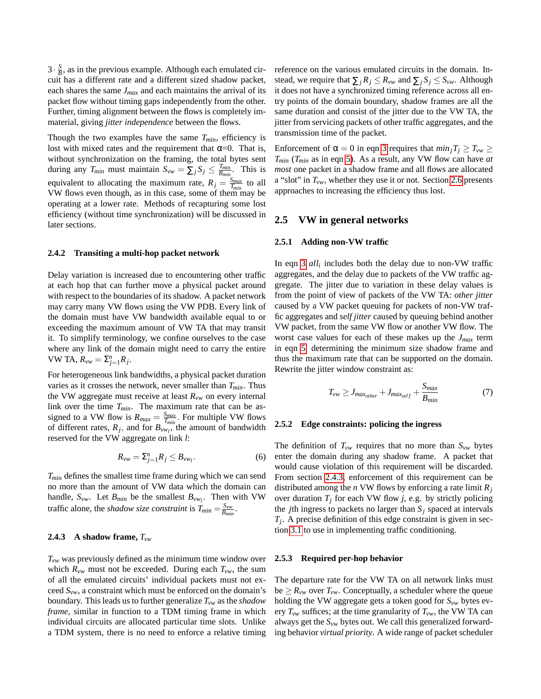$3 \cdot \frac{S}{B}$ , as in the previous example. Although each emulated circuit has a different rate and a different sized shadow packet, each shares the same *Jmax* and each maintains the arrival of its packet flow without timing gaps independently from the other. Further, timing alignment between the flows is completely immaterial, giving *jitter independence* between the flows.

Though the two examples have the same *Tmin*, efficiency is lost with mixed rates and the requirement that  $\alpha=0$ . That is, without synchronization on the framing, the total bytes sent during any  $T_{min}$  must maintain  $S_{vw} = \sum_j S_j \leq \frac{T_{min}}{B_{min}}$ . This is equivalent to allocating the maximum rate,  $R_j = \frac{S_{max}}{T_{min}}$  to all VW flows even though, as in this case, some of them may be operating at a lower rate. Methods of recapturing some lost efficiency (without time synchronization) will be discussed in later sections.

#### **2.4.2 Transiting a multi-hop packet network**

Delay variation is increased due to encountering other traffic at each hop that can further move a physical packet around with respect to the boundaries of its shadow. A packet network may carry many VW flows using the VW PDB. Every link of the domain must have VW bandwidth available equal to or exceeding the maximum amount of VW TA that may transit it. To simplify terminology, we confine ourselves to the case where any link of the domain might need to carry the entire VW TA,  $R_{vw} = \sum_{j=1}^{n} R_j$ .

For heterogeneous link bandwidths, a physical packet duration varies as it crosses the network, never smaller than *Tmin*. Thus the VW aggregate must receive at least  $R_{vw}$  on every internal link over the time *Tmin*. The maximum rate that can be assigned to a VW flow is  $R_{max} = \frac{S_{max}}{T_{min}}$ . For multiple VW flows of different rates,  $R_j$ , and for  $B_{vw_l}$ , the amount of bandwidth reserved for the VW aggregate on link *l*:

<span id="page-5-1"></span>
$$
R_{vw} = \sum_{j=1}^{n} R_j \leq B_{vw_l}.\tag{6}
$$

*Tmin* defines the smallest time frame during which we can send no more than the amount of VW data which the domain can handle,  $S_{vw}$ . Let  $B_{min}$  be the smallest  $B_{vw}$ . Then with VW traffic alone, the *shadow size constraint* is  $T_{min} = \frac{S_{vw}}{B_{min}}$ .

#### <span id="page-5-0"></span>**2.4.3 A shadow frame,** *Tvw*

*Tvw* was previously defined as the minimum time window over which  $R_{vw}$  must not be exceeded. During each  $T_{vw}$ , the sum of all the emulated circuits' individual packets must not exceed  $S_{vw}$ , a constraint which must be enforced on the domain's boundary. This leads us to further generalize *Tvw* as the *shadow frame,* similar in function to a TDM timing frame in which individual circuits are allocated particular time slots. Unlike a TDM system, there is no need to enforce a relative timing reference on the various emulated circuits in the domain. Instead, we require that  $\sum_{i} R_i \leq R_{vw}$  and  $\sum_{i} S_i \leq S_{vw}$ . Although it does not have a synchronized timing reference across all entry points of the domain boundary, shadow frames are all the same duration and consist of the jitter due to the VW TA, the jitter from servicing packets of other traffic aggregates, and the transmission time of the packet.

Enforcement of  $\alpha = 0$  in eqn [3](#page-3-2) requires that  $min_i T_i \geq T_{vw} \geq$ *Tmin* (*Tmin* as in eqn [5\)](#page-4-1). As a result, any VW flow can have *at most* one packet in a shadow frame and all flows are allocated a "slot" in  $T_{vw}$ , whether they use it or not. Section [2.6](#page-7-0) presents approaches to increasing the efficiency thus lost.

### **2.5 VW in general networks**

#### **2.5.1 Adding non-VW traffic**

In eqn [3](#page-3-2) *all<sup>i</sup>* includes both the delay due to non-VW traffic aggregates, and the delay due to packets of the VW traffic aggregate. The jitter due to variation in these delay values is from the point of view of packets of the VW TA: *other jitter* caused by a VW packet queuing for packets of non-VW traffic aggregates and *self jitter* caused by queuing behind another VW packet, from the same VW flow or another VW flow. The worst case values for each of these makes up the *Jmax* term in eqn [5,](#page-4-1) determining the minimum size shadow frame and thus the maximum rate that can be supported on the domain. Rewrite the jitter window constraint as:

<span id="page-5-2"></span>
$$
T_{vw} \geq J_{max_{other}} + J_{max_{self}} + \frac{S_{max}}{B_{min}} \tag{7}
$$

#### **2.5.2 Edge constraints: policing the ingress**

The definition of  $T_{vw}$  requires that no more than  $S_{vw}$  bytes enter the domain during any shadow frame. A packet that would cause violation of this requirement will be discarded. From section [2.4.3,](#page-5-0) enforcement of this requirement can be distributed among the *n* VW flows by enforcing a rate limit *R<sup>j</sup>* over duration  $T_i$  for each VW flow *j*, e.g. by strictly policing the *j*th ingress to packets no larger than  $S_i$  spaced at intervals *Tj* . A precise definition of this edge constraint is given in section [3.1](#page-9-0) to use in implementing traffic conditioning.

#### **2.5.3 Required per-hop behavior**

The departure rate for the VW TA on all network links must  $be \ge R_{vw}$  over  $T_{vw}$ . Conceptually, a scheduler where the queue holding the VW aggregate gets a token good for *Svw* bytes every  $T_{vw}$  suffices; at the time granularity of  $T_{vw}$ , the VW TA can always get the *Svw* bytes out. We call this generalized forwarding behavior *virtual priority*. A wide range of packet scheduler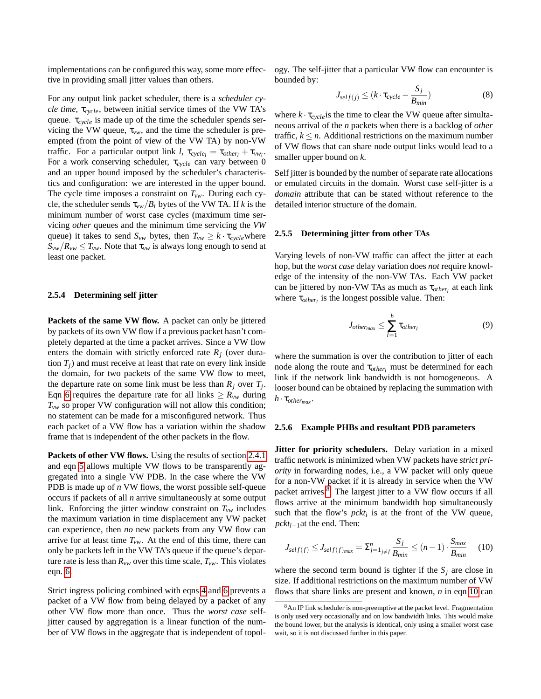implementations can be configured this way, some more effective in providing small jitter values than others.

For any output link packet scheduler, there is a *scheduler cycle time,* τ*cycle,* between initial service times of the VW TA's queue. τ*cycle* is made up of the time the scheduler spends servicing the VW queue,  $\tau_{vw}$ , and the time the scheduler is preempted (from the point of view of the VW TA) by non-VW traffic. For a particular output link *l*,  $\tau_{cycle_l} = \tau_{other_l} + \tau_{vw_l}$ . For a work conserving scheduler, τ*cycle* can vary between 0 and an upper bound imposed by the scheduler's characteristics and configuration: we are interested in the upper bound. The cycle time imposes a constraint on *Tvw*. During each cycle, the scheduler sends  $\tau_{vw}/B_l$  bytes of the VW TA. If *k* is the minimum number of worst case cycles (maximum time servicing *other* queues and the minimum time servicing the *VW* queue) it takes to send  $S_{vw}$  bytes, then  $T_{vw} \geq k \cdot \tau_{cycle}$  where  $S_{vw}/R_{vw} \leq T_{vw}$ . Note that  $\tau_{vw}$  is always long enough to send at least one packet.

#### **2.5.4 Determining self jitter**

**Packets of the same VW flow.** A packet can only be jittered by packets of its own VW flow if a previous packet hasn't completely departed at the time a packet arrives. Since a VW flow enters the domain with strictly enforced rate  $R_j$  (over duration  $T_i$ ) and must receive at least that rate on every link inside the domain, for two packets of the same VW flow to meet, the departure rate on some link must be less than  $R_j$  over  $T_j$ . Eqn [6](#page-5-1) requires the departure rate for all links  $\geq R_{vw}$  during  $T_{vw}$  so proper VW configuration will not allow this condition; no statement can be made for a misconfigured network. Thus each packet of a VW flow has a variation within the shadow frame that is independent of the other packets in the flow.

**Packets of other VW flows.** Using the results of section [2.4.1](#page-4-2) and eqn [5](#page-4-1) allows multiple VW flows to be transparently aggregated into a single VW PDB. In the case where the VW PDB is made up of *n* VW flows, the worst possible self-queue occurs if packets of all *n* arrive simultaneously at some output link. Enforcing the jitter window constraint on  $T_{vw}$  includes the maximum variation in time displacement any VW packet can experience, then *no* new packets from any VW flow can arrive for at least time  $T_{vw}$ . At the end of this time, there can only be packets left in the VW TA's queue if the queue's departure rate is less than  $R_{vw}$  over this time scale,  $T_{vw}$ . This violates eqn. [6.](#page-5-1)

Strict ingress policing combined with eqns [4](#page-4-3) and [6](#page-5-1) prevents a packet of a VW flow from being delayed by a packet of any other VW flow more than once. Thus the *worst case* selfjitter caused by aggregation is a linear function of the number of VW flows in the aggregate that is independent of topology. The self-jitter that a particular VW flow can encounter is bounded by:

$$
J_{self(j)} \le (k \cdot \tau_{cycle} - \frac{S_j}{B_{min}})
$$
 (8)

where  $k \cdot \tau_{cycle}$  is the time to clear the VW queue after simultaneous arrival of the *n* packets when there is a backlog of *other* traffic,  $k \leq n$ . Additional restrictions on the maximum number of VW flows that can share node output links would lead to a smaller upper bound on *k.*

Self jitter is bounded by the number of separate rate allocations or emulated circuits in the domain. Worst case self-jitter is a *domain* attribute that can be stated without reference to the detailed interior structure of the domain.

#### <span id="page-6-2"></span>**2.5.5 Determining jitter from other TAs**

Varying levels of non-VW traffic can affect the jitter at each hop, but the *worst case* delay variation does *not* require knowledge of the intensity of the non-VW TAs. Each VW packet can be jittered by non-VW TAs as much as τ*other<sup>l</sup>* at each link where  $\tau_{other_l}$  is the longest possible value. Then:

$$
J_{other_{max}} \leq \sum_{l=1}^{h} \tau_{other_l}
$$
 (9)

where the summation is over the contribution to jitter of each node along the route and  $\tau_{other}$  must be determined for each link if the network link bandwidth is not homogeneous. A looser bound can be obtained by replacing the summation with *h* · τ*othermax* .

#### **2.5.6 Example PHBs and resultant PDB parameters**

**Jitter for priority schedulers.** Delay variation in a mixed traffic network is minimized when VW packets have *strict priority* in forwarding nodes, i.e., a VW packet will only queue for a non-VW packet if it is already in service when the VW packet arrives. $\overline{8}$  $\overline{8}$  $\overline{8}$  The largest jitter to a VW flow occurs if all flows arrive at the minimum bandwidth hop simultaneously such that the flow's  $pckt_i$  is at the front of the VW queue,  $pckt_{i+1}$ at the end. Then:

<span id="page-6-1"></span>
$$
J_{self(f)} \le J_{self(f)_{max}} = \Sigma_{j=1}^{n} \frac{S_{j}}{B_{min}} \le (n-1) \cdot \frac{S_{max}}{B_{min}} \quad (10)
$$

where the second term bound is tighter if the  $S_i$  are close in size. If additional restrictions on the maximum number of VW flows that share links are present and known, *n* in eqn [10](#page-6-1) can

<span id="page-6-0"></span><sup>8</sup>An IP link scheduler is non-preemptive at the packet level. Fragmentation is only used very occasionally and on low bandwidth links. This would make the bound lower, but the analysis is identical, only using a smaller worst case wait, so it is not discussed further in this paper.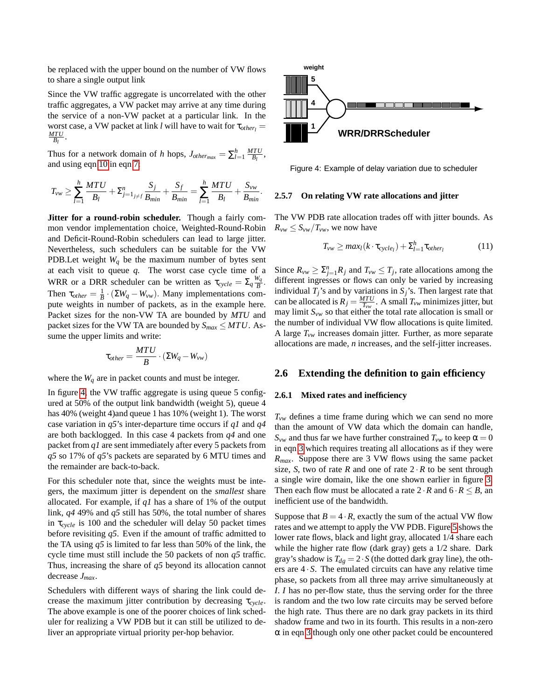be replaced with the upper bound on the number of VW flows to share a single output link

Since the VW traffic aggregate is uncorrelated with the other traffic aggregates, a VW packet may arrive at any time during the service of a non-VW packet at a particular link. In the worst case, a VW packet at link *l* will have to wait for τ*other<sup>l</sup>* =  $\frac{MTU}{B_l}$ .

Thus for a network domain of *h* hops,  $J_{othermax} = \sum_{l=1}^{h} \frac{MTU}{B_l}$ , and using eqn [10](#page-6-1) in eqn [7:](#page-5-2)

$$
T_{vw} \geq \sum_{l=1}^{h} \frac{MTU}{B_l} + \Sigma_{j=1}^{n} \frac{S_j}{B_{min}} + \frac{S_f}{B_{min}} = \sum_{l=1}^{h} \frac{MTU}{B_l} + \frac{S_{vw}}{B_{min}}.
$$

**Jitter for a round-robin scheduler.** Though a fairly common vendor implementation choice, Weighted-Round-Robin and Deficit-Round-Robin schedulers can lead to large jitter. Nevertheless, such schedulers can be suitable for the VW PDB.Let weight  $W_q$  be the maximum number of bytes sent at each visit to queue *q.* The worst case cycle time of a WRR or a DRR scheduler can be written as  $\tau_{cycle} = \sum_{q} \frac{W_q}{R}$  $\frac{v_q}{B}$ . Then  $\tau_{other} = \frac{1}{B} \cdot (\Sigma W_q - W_{vw})$ . Many implementations compute weights in number of packets, as in the example here. Packet sizes for the non-VW TA are bounded by *MTU* and packet sizes for the VW TA are bounded by  $S_{max} \leq MTU$ . Assume the upper limits and write:

$$
\tau_{other} = \frac{MTU}{B} \cdot (\Sigma W_q - W_{vw})
$$

where the  $W_q$  are in packet counts and must be integer.

In figure [4,](#page-7-1) the VW traffic aggregate is using queue 5 configured at 50% of the output link bandwidth (weight 5), queue 4 has 40% (weight 4)and queue 1 has 10% (weight 1). The worst case variation in *q5*'s inter-departure time occurs if *q1* and *q4* are both backlogged. In this case 4 packets from *q4* and one packet from *q1* are sent immediately after every 5 packets from *q5* so 17% of *q5*'s packets are separated by 6 MTU times and the remainder are back-to-back.

For this scheduler note that, since the weights must be integers, the maximum jitter is dependent on the *smallest* share allocated. For example, if *q1* has a share of 1% of the output link, *q4* 49% and *q5* still has 50%, the total number of shares in  $\tau_{cycle}$  is 100 and the scheduler will delay 50 packet times before revisiting *q5*. Even if the amount of traffic admitted to the TA using *q5* is limited to far less than 50% of the link, the cycle time must still include the 50 packets of non *q5* traffic. Thus, increasing the share of *q5* beyond its allocation cannot decrease *Jmax*.

Schedulers with different ways of sharing the link could decrease the maximum jitter contribution by decreasing τ*cycle*. The above example is one of the poorer choices of link scheduler for realizing a VW PDB but it can still be utilized to deliver an appropriate virtual priority per-hop behavior.



<span id="page-7-1"></span>Figure 4: Example of delay variation due to scheduler

#### **2.5.7 On relating VW rate allocations and jitter**

The VW PDB rate allocation trades off with jitter bounds. As  $R_{vw} \leq S_{vw}/T_{vw}$ , we now have

$$
T_{vw} \ge \max_l (k \cdot \tau_{cycle_l}) + \Sigma_{l=1}^h \tau_{other_l}
$$
 (11)

Since  $R_{vw} \ge \sum_{j=1}^n R_j$  and  $T_{vw} \le T_j$ , rate allocations among the different ingresses or flows can only be varied by increasing individual  $T_j$ 's and by variations in  $S_j$ 's. Then largest rate that can be allocated is  $R_j = \frac{MTU}{T_{vw}}$ . A small  $T_{vw}$  minimizes jitter, but may limit *Svw* so that either the total rate allocation is small or the number of individual VW flow allocations is quite limited. A large *Tvw* increases domain jitter. Further, as more separate allocations are made, *n* increases, and the self-jitter increases.

#### <span id="page-7-0"></span>**2.6 Extending the definition to gain efficiency**

#### **2.6.1 Mixed rates and inefficiency**

*Tvw* defines a time frame during which we can send no more than the amount of VW data which the domain can handle,  $S_{vw}$  and thus far we have further constrained  $T_{vw}$  to keep  $\alpha = 0$ in eqn [3](#page-3-2) which requires treating all allocations as if they were *Rmax*. Suppose there are 3 VW flows using the same packet size, *S*, two of rate *R* and one of rate  $2 \cdot R$  to be sent through a single wire domain, like the one shown earlier in figure [3.](#page-4-0) Then each flow must be allocated a rate  $2 \cdot R$  and  $6 \cdot R \leq B$ , and inefficient use of the bandwidth.

Suppose that  $B = 4 \cdot R$ , exactly the sum of the actual VW flow rates and we attempt to apply the VW PDB. Figure [5](#page-8-0) shows the lower rate flows, black and light gray, allocated 1/4 share each while the higher rate flow (dark gray) gets a 1/2 share. Dark gray's shadow is  $T_{dg} = 2 \cdot S$  (the dotted dark gray line), the others are  $4 \cdot S$ . The emulated circuits can have any relative time phase, so packets from all three may arrive simultaneously at *I*. *I* has no per-flow state, thus the serving order for the three is random and the two low rate circuits may be served before the high rate. Thus there are no dark gray packets in its third shadow frame and two in its fourth. This results in a non-zero  $\alpha$  in eqn [3](#page-3-2) though only one other packet could be encountered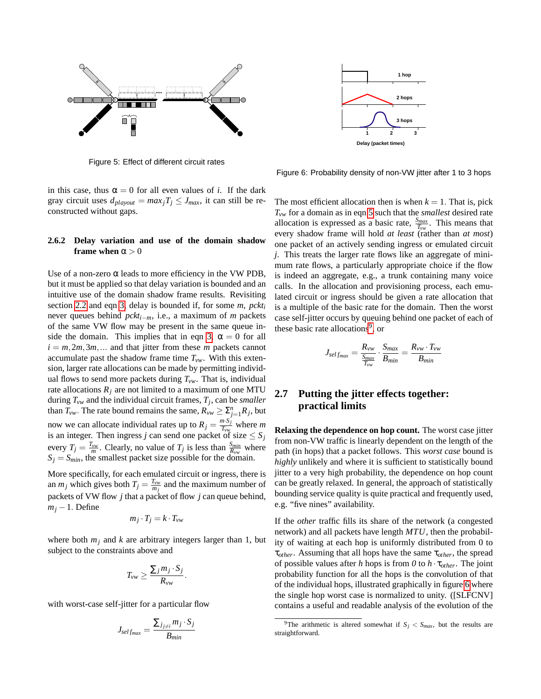

<span id="page-8-0"></span>Figure 5: Effect of different circuit rates

in this case, thus  $\alpha = 0$  for all even values of *i*. If the dark gray circuit uses  $d_{playout} = max_j T_j \leq J_{max}$ , it can still be reconstructed without gaps.

#### **2.6.2 Delay variation and use of the domain shadow frame** when  $\alpha > 0$

Use of a non-zero  $\alpha$  leads to more efficiency in the VW PDB, but it must be applied so that delay variation is bounded and an intuitive use of the domain shadow frame results. Revisiting section [2.2](#page-3-3) and eqn [3,](#page-3-2) delay is bounded if, for some *m, pckt<sup>i</sup>* never queues behind *pckti*−*m*, i.e., a maximum of *m* packets of the same VW flow may be present in the same queue in-side the domain. This implies that in eqn [3,](#page-3-2)  $\alpha = 0$  for all  $i = m, 2m, 3m, \dots$  and that jitter from these *m* packets cannot accumulate past the shadow frame time  $T_{vw}$ . With this extension, larger rate allocations can be made by permitting individual flows to send more packets during  $T_{vw}$ . That is, individual rate allocations  $R_i$  are not limited to a maximum of one MTU during *Tvw* and the individual circuit frames, *T<sup>j</sup>* , can be *smaller* than  $T_{vw}$ . The rate bound remains the same,  $R_{vw} \ge \sum_{j=1}^{n} R_j$ , but now we can allocate individual rates up to  $R_j = \frac{m \cdot S_j}{T_{\text{max}}}$  $\frac{n!}{T_{vw}}$  where *m* is an integer. Then ingress *j* can send one packet of size  $\leq S_j$ every  $T_j = \frac{T_{vw}}{m}$ . Clearly, no value of  $T_j$  is less than  $\frac{S_{min}}{R_{vw}}$  where  $S_j = S_{min}$ , the smallest packet size possible for the domain.

More specifically, for each emulated circuit or ingress, there is an  $m_j$  which gives both  $T_j = \frac{T_{vw}}{m_j}$  and the maximum number of packets of VW flow *j* that a packet of flow *j* can queue behind,  $m<sub>i</sub> - 1$ . Define

$$
m_j \cdot T_j = k \cdot T_{vw}
$$

where both  $m_i$  and  $k$  are arbitrary integers larger than 1, but subject to the constraints above and

$$
T_{vw} \geq \frac{\sum_j m_j \cdot S_j}{R_{vw}}.
$$

with worst-case self-jitter for a particular flow

$$
J_{selfmax} = \frac{\sum_{j_{j\neq i}} m_j \cdot S_j}{B_{min}}
$$



<span id="page-8-2"></span>Figure 6: Probability density of non-VW jitter after 1 to 3 hops

The most efficient allocation then is when  $k = 1$ . That is, pick *Tvw* for a domain as in eqn [5](#page-4-1) such that the *smallest* desired rate allocation is expressed as a basic rate,  $\frac{S_{max}}{T_{yw}}$ . This means that every shadow frame will hold *at least* (rather than *at most*) one packet of an actively sending ingress or emulated circuit *j*. This treats the larger rate flows like an aggregate of minimum rate flows, a particularly appropriate choice if the flow is indeed an aggregate, e.g., a trunk containing many voice calls. In the allocation and provisioning process, each emulated circuit or ingress should be given a rate allocation that is a multiple of the basic rate for the domain. Then the worst case self-jitter occurs by queuing behind one packet of each of these basic rate allocations<sup>[9](#page-8-1)</sup>, or

$$
J_{self_{max}} = \frac{R_{vw}}{\frac{S_{max}}{T_{vw}}} \cdot \frac{S_{max}}{B_{min}} = \frac{R_{vw} \cdot T_{vw}}{B_{min}}
$$

### **2.7 Putting the jitter effects together: practical limits**

**Relaxing the dependence on hop count.** The worst case jitter from non-VW traffic is linearly dependent on the length of the path (in hops) that a packet follows. This *worst case* bound is *highly* unlikely and where it is sufficient to statistically bound jitter to a very high probability, the dependence on hop count can be greatly relaxed. In general, the approach of statistically bounding service quality is quite practical and frequently used, e.g. "five nines" availability.

If the *other* traffic fills its share of the network (a congested network) and all packets have length *MTU*, then the probability of waiting at each hop is uniformly distributed from 0 to τ*other*. Assuming that all hops have the same τ*other*, the spread of possible values after *h* hops is from *0* to *h* · τ*other*. The joint probability function for all the hops is the convolution of that of the individual hops, illustrated graphically in figure [6](#page-8-2) where the single hop worst case is normalized to unity. ([SLFCNV] contains a useful and readable analysis of the evolution of the

<span id="page-8-1"></span><sup>&</sup>lt;sup>9</sup>The arithmetic is altered somewhat if  $S_j < S_{max}$ , but the results are straightforward.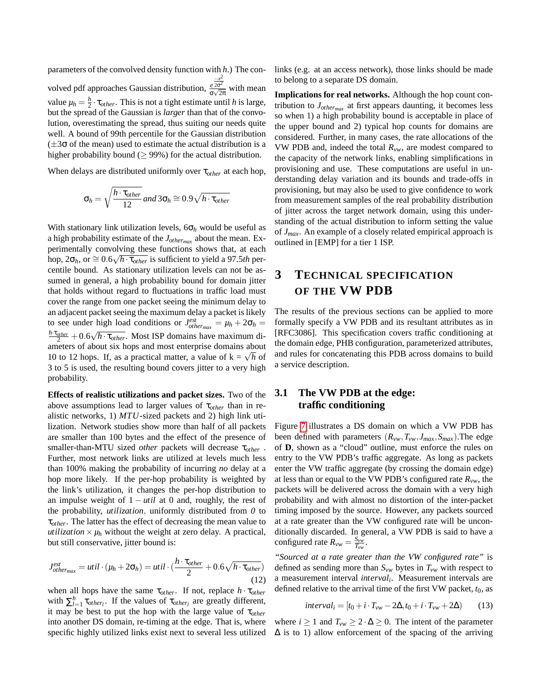parameters of the convolved density function with *h*.) The convolved pdf approaches Gaussian distribution,  $\frac{e^{2\alpha^2}}{2\alpha^2}$  $rac{e^{2\sigma^2}}{\sigma\sqrt{2\pi}}$  with mean value  $\mu_h = \frac{h}{2} \cdot \tau_{other}$ . This is not a tight estimate until *h* is large, but the spread of the Gaussian is *larger* than that of the convolution, overestimating the spread, thus suiting our needs quite well. A bound of 99th percentile for the Gaussian distribution  $(\pm 3\sigma)$  of the mean) used to estimate the actual distribution is a higher probability bound ( $\geq$  99%) for the actual distribution.

When delays are distributed uniformly over τ<sub>other</sub> at each hop,

$$
\sigma_h = \sqrt{\frac{h \cdot \tau_{other}}{12}} \, and \, 3\sigma_h \cong 0.9 \sqrt{h \cdot \tau_{other}}
$$

With stationary link utilization levels, 6σ*<sup>h</sup>* would be useful as a high probability estimate of the *Jothermax* about the mean. Experimentally convolving these functions shows that, at each hop,  $2\sigma_h$ , or  $\approx 0.6\sqrt{h\cdot\tau_{other}}$  is sufficient to yield a 97.5*th* percentile bound. As stationary utilization levels can not be assumed in general, a high probability bound for domain jitter that holds without regard to fluctuations in traffic load must cover the range from one packet seeing the minimum delay to an adjacent packet seeing the maximum delay a packet is likely to see under high load conditions or  $J_{othermax}^{est} = \mu_h + 2\sigma_h =$  $\frac{h \cdot \tau_{other}}{2} + 0.6\sqrt{h \cdot \tau_{other}}$ . Most ISP domains have maximum diameters of about six hops and most enterprise domains about ameters or about six hops and most enterprise domains about 10 to 12 hops. If, as a practical matter, a value of  $k = \sqrt{h}$  of 3 to 5 is used, the resulting bound covers jitter to a very high probability.

**Effects of realistic utilizations and packet sizes.** Two of the above assumptions lead to larger values of τ*other* than in realistic networks, 1) *MTU*-sized packets and 2) high link utilization. Network studies show more than half of all packets are smaller than 100 bytes and the effect of the presence of smaller-than-MTU sized *other* packets will decrease τ*other* . Further, most network links are utilized at levels much less than 100% making the probability of incurring *no* delay at a hop more likely. If the per-hop probability is weighted by the link's utilization, it changes the per-hop distribution to an impulse weight of  $1 - util$  at 0 and, roughly, the rest of the probability, *utilization*, uniformly distributed from *0* to τ*other*. The latter has the effect of decreasing the mean value to *utilization*  $\times$   $\mu_h$  without the weight at zero delay. A practical, but still conservative, jitter bound is:

$$
J_{other_{max}}^{est} = util \cdot (\mu_h + 2\sigma_h) = util \cdot (\frac{h \cdot \tau_{other}}{2} + 0.6\sqrt{h \cdot \tau_{other}})
$$
\n(12)

when all hops have the same  $\tau_{other}$ . If not, replace  $h \cdot \tau_{other}$ with  $\sum_{l=1}^{h} \tau_{other_l}$ . If the values of  $\tau_{other_l}$  are greatly different, it may be best to put the hop with the large value of τ*other* into another DS domain, re-timing at the edge. That is, where specific highly utilized links exist next to several less utilized links (e.g. at an access network), those links should be made to belong to a separate DS domain.

**Implications for real networks.** Although the hop count contribution to *Jothermax* at first appears daunting, it becomes less so when 1) a high probability bound is acceptable in place of the upper bound and 2) typical hop counts for domains are considered. Further, in many cases, the rate allocations of the VW PDB and, indeed the total *Rvw*, are modest compared to the capacity of the network links, enabling simplifications in provisioning and use. These computations are useful in understanding delay variation and its bounds and trade-offs in provisioning, but may also be used to give confidence to work from measurement samples of the real probability distribution of jitter across the target network domain, using this understanding of the actual distribution to inform setting the value of *Jmax*. An example of a closely related empirical approach is outlined in [EMP] for a tier 1 ISP.

## **3 TECHNICAL SPECIFICATION OF THE VW PDB**

The results of the previous sections can be applied to more formally specify a VW PDB and its resultant attributes as in [RFC3086]. This specification covers traffic conditioning at the domain edge, PHB configuration, parameterized attributes, and rules for concatenating this PDB across domains to build a service description.

## <span id="page-9-0"></span>**3.1 The VW PDB at the edge: traffic conditioning**

Figure [7](#page-10-1) illustrates a DS domain on which a VW PDB has been defined with parameters  $(R_{vw}, T_{vw}, J_{max}, S_{max})$ . The edge of **D**, shown as a "cloud" outline, must enforce the rules on entry to the VW PDB's traffic aggregate. As long as packets enter the VW traffic aggregate (by crossing the domain edge) at less than or equal to the VW PDB's configured rate  $R_{vw}$ , the packets will be delivered across the domain with a very high probability and with almost no distortion of the inter-packet timing imposed by the source. However, any packets sourced at a rate greater than the VW configured rate will be unconditionally discarded. In general, a VW PDB is said to have a configured rate  $R_{vw} = \frac{S_{vw}}{T_{vw}}$ .

*"Sourced at a rate greater than the VW configured rate"* is defined as sending more than  $S_{vw}$  bytes in  $T_{vw}$  with respect to a measurement interval *interval<sup>i</sup>* . Measurement intervals are defined relative to the arrival time of the first VW packet,  $t_0$ , as

<span id="page-9-1"></span>
$$
interval_i = [t_0 + i \cdot T_{vw} - 2\Delta, t_0 + i \cdot T_{vw} + 2\Delta)
$$
 (13)

where  $i \geq 1$  and  $T_{vw} \geq 2 \cdot \Delta \geq 0$ . The intent of the parameter ∆ is to 1) allow enforcement of the spacing of the arriving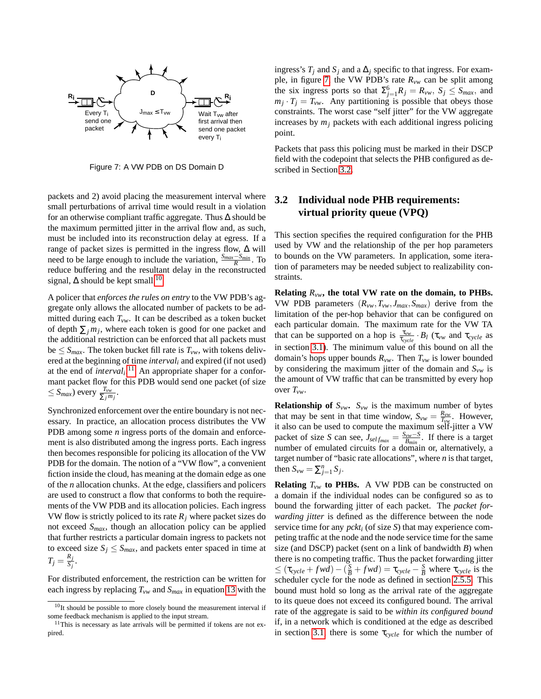

<span id="page-10-1"></span>Figure 7: A VW PDB on DS Domain D

packets and 2) avoid placing the measurement interval where small perturbations of arrival time would result in a violation for an otherwise compliant traffic aggregate. Thus ∆ should be the maximum permitted jitter in the arrival flow and, as such, must be included into its reconstruction delay at egress. If a range of packet sizes is permitted in the ingress flow,  $\Delta$  will need to be large enough to include the variation, *<sup>S</sup>max*−*Smin R* . To reduce buffering and the resultant delay in the reconstructed signal,  $\Delta$  should be kept small.<sup>[10](#page-10-2)</sup>

A policer that *enforces the rules on entry* to the VW PDB's aggregate only allows the allocated number of packets to be admitted during each  $T_{vw}$ . It can be described as a token bucket of depth  $\sum_j m_j$ , where each token is good for one packet and the additional restriction can be enforced that all packets must be  $\leq$  *S<sub>max</sub>*. The token bucket fill rate is  $T_{vw}$ , with tokens delivered at the beginning of time *interval<sup>i</sup>* and expired (if not used) at the end of  $interval<sub>i</sub>$ .<sup>[11](#page-10-3)</sup> An appropriate shaper for a conformant packet flow for this PDB would send one packet (of size  $\leq S_{max}$ ) every  $\frac{T_{vw}}{\sum_j m_j}$ .

Synchronized enforcement over the entire boundary is not necessary. In practice, an allocation process distributes the VW PDB among some *n* ingress ports of the domain and enforcement is also distributed among the ingress ports. Each ingress then becomes responsible for policing its allocation of the VW PDB for the domain. The notion of a "VW flow", a convenient fiction inside the cloud, has meaning at the domain edge as one of the *n* allocation chunks. At the edge, classifiers and policers are used to construct a flow that conforms to both the requirements of the VW PDB and its allocation policies. Each ingress VW flow is strictly policed to its rate  $R_i$  where packet sizes do not exceed *Smax,* though an allocation policy can be applied that further restricts a particular domain ingress to packets not to exceed size  $S_j \leq S_{max}$ , and packets enter spaced in time at  $T_j = \frac{R_j}{S_j}$  $\frac{\kappa_j}{S_j}$ .

For distributed enforcement, the restriction can be written for each ingress by replacing *Tvw* and *Smax* in equation [13](#page-9-1) with the ingress's  $T_i$  and  $S_i$  and a  $\Delta_i$  specific to that ingress. For example, in figure [7,](#page-10-1) the VW PDB's rate *Rvw* can be split among the six ingress ports so that  $\Sigma_{j=1}^6 R_j = R_{vw}$ ,  $S_j \leq S_{max}$ , and  $m_j \cdot T_j = T_{vw}$ . Any partitioning is possible that obeys those constraints. The worst case "self jitter" for the VW aggregate increases by *m<sup>j</sup>* packets with each additional ingress policing point.

Packets that pass this policing must be marked in their DSCP field with the codepoint that selects the PHB configured as described in Section [3.2.](#page-10-0)

## <span id="page-10-0"></span>**3.2 Individual node PHB requirements: virtual priority queue (VPQ)**

This section specifies the required configuration for the PHB used by VW and the relationship of the per hop parameters to bounds on the VW parameters. In application, some iteration of parameters may be needed subject to realizability constraints.

**Relating** *Rvw***, the total VW rate on the domain, to PHBs.** VW PDB parameters  $(R_{vw}, T_{vw}, J_{max}, S_{max})$  derive from the limitation of the per-hop behavior that can be configured on each particular domain. The maximum rate for the VW TA that can be supported on a hop is  $\frac{\tau_{vw}}{\tau_{cycle}} \cdot B_l$  ( $\tau_{vw}$  and  $\tau_{cycle}$  as in section [3.1\)](#page-9-0). The minimum value of this bound on all the domain's hops upper bounds  $R_{vw}$ . Then  $T_{vw}$  is lower bounded by considering the maximum jitter of the domain and *Svw* is the amount of VW traffic that can be transmitted by every hop over  $T_{vw}$ .

**Relationship of**  $S_{vw}$ .  $S_{vw}$  is the maximum number of bytes that may be sent in that time window,  $S_{vw} = \frac{R_{vw}}{T_{vw}}$ . However, it also can be used to compute the maximum self-jitter a VW packet of size *S* can see,  $J_{self_{max}} = \frac{S_{\text{vw}} - S}{B_{\text{min}}}$ . If there is a target number of emulated circuits for a domain or, alternatively, a target number of "basic rate allocations", where *n* is that target, then  $S_{vw} = \sum_{j=1}^n S_j$ .

**Relating**  $T_{vw}$  **to PHBs.** A VW PDB can be constructed on a domain if the individual nodes can be configured so as to bound the forwarding jitter of each packet. The *packet forwarding jitter* is defined as the difference between the node service time for any *pckt<sup>i</sup>* (of size *S*) that may experience competing traffic at the node and the node service time for the same size (and DSCP) packet (sent on a link of bandwidth *B*) when there is no competing traffic. Thus the packet forwarding jitter  $≤$  ( $\tau_{cycle} + fwd$ ) − ( $\frac{S}{B} + fwd$ ) =  $\tau_{cycle} - \frac{S}{B}$  where  $\tau_{cycle}$  is the scheduler cycle for the node as defined in section [2.5.5.](#page-6-2) This bound must hold so long as the arrival rate of the aggregate to its queue does not exceed its configured bound. The arrival rate of the aggregate is said to be *within its configured bound* if, in a network which is conditioned at the edge as described in section [3.1,](#page-9-0) there is some  $\tau_{cycle}$  for which the number of

<span id="page-10-2"></span><sup>&</sup>lt;sup>10</sup>It should be possible to more closely bound the measurement interval if some feedback mechanism is applied to the input stream.

<span id="page-10-3"></span> $11$ This is necessary as late arrivals will be permitted if tokens are not expired.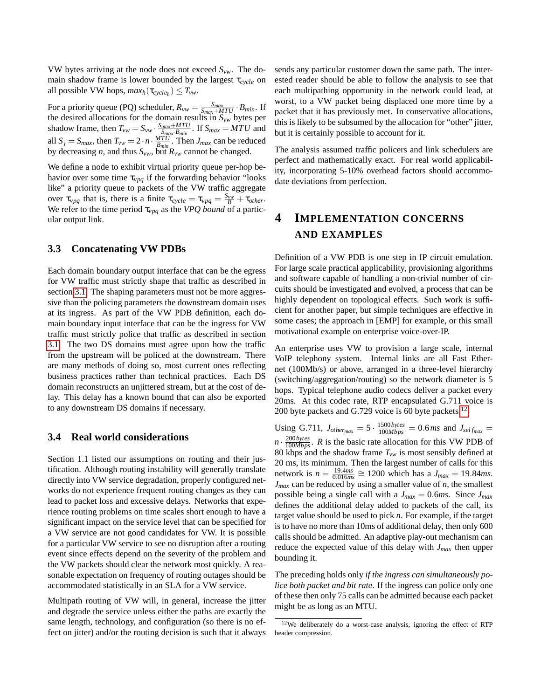VW bytes arriving at the node does not exceed *Svw*. The domain shadow frame is lower bounded by the largest τ*cycle* on all possible VW hops,  $max_h(\tau_{cycle_h}) \leq T_{vw}$ .

For a priority queue (PQ) scheduler,  $R_{vw} = \frac{S_{max}}{S_{max} + MTU} \cdot B_{min}$ . If the desired allocations for the domain results in *Svw* bytes per shadow frame, then  $T_{vw} = S_{vw} \cdot \frac{S_{max} + MTU}{S_{max} \cdot B_{min}}$ . If  $S_{max} = MTU$  and all  $S_j = S_{max}$ , then  $T_{vw} = 2 \cdot n \cdot \frac{MTU}{B_{min}}$ . Then  $J_{max}$  can be reduced by decreasing *n*, and thus  $S_{vw}$ , but  $R_{vw}$  cannot be changed.

We define a node to exhibit virtual priority queue per-hop behavior over some time  $\tau_{vpq}$  if the forwarding behavior "looks" like" a priority queue to packets of the VW traffic aggregate over  $\tau_{vpq}$  that is, there is a finite  $\tau_{cycle} = \tau_{vpq} = \frac{S_{vw}}{B} + \tau_{other}$ . We refer to the time period  $\tau_{vpq}$  as the *VPQ bound* of a particular output link.

#### **3.3 Concatenating VW PDBs**

Each domain boundary output interface that can be the egress for VW traffic must strictly shape that traffic as described in section [3.1.](#page-9-0) The shaping parameters must not be more aggressive than the policing parameters the downstream domain uses at its ingress. As part of the VW PDB definition, each domain boundary input interface that can be the ingress for VW traffic must strictly police that traffic as described in section [3.1.](#page-9-0) The two DS domains must agree upon how the traffic from the upstream will be policed at the downstream. There are many methods of doing so, most current ones reflecting business practices rather than technical practices. Each DS domain reconstructs an unjittered stream, but at the cost of delay. This delay has a known bound that can also be exported to any downstream DS domains if necessary.

#### **3.4 Real world considerations**

Section 1.1 listed our assumptions on routing and their justification. Although routing instability will generally translate directly into VW service degradation, properly configured networks do not experience frequent routing changes as they can lead to packet loss and excessive delays. Networks that experience routing problems on time scales short enough to have a significant impact on the service level that can be specified for a VW service are not good candidates for VW. It is possible for a particular VW service to see no disruption after a routing event since effects depend on the severity of the problem and the VW packets should clear the network most quickly. A reasonable expectation on frequency of routing outages should be accommodated statistically in an SLA for a VW service.

Multipath routing of VW will, in general, increase the jitter and degrade the service unless either the paths are exactly the same length, technology, and configuration (so there is no effect on jitter) and/or the routing decision is such that it always sends any particular customer down the same path. The interested reader should be able to follow the analysis to see that each multipathing opportunity in the network could lead, at worst, to a VW packet being displaced one more time by a packet that it has previously met. In conservative allocations, this is likely to be subsumed by the allocation for "other" jitter, but it is certainly possible to account for it.

The analysis assumed traffic policers and link schedulers are perfect and mathematically exact. For real world applicability, incorporating 5-10% overhead factors should accommodate deviations from perfection.

## **4 IMPLEMENTATION CONCERNS AND EXAMPLES**

Definition of a VW PDB is one step in IP circuit emulation. For large scale practical applicability, provisioning algorithms and software capable of handling a non-trivial number of circuits should be investigated and evolved, a process that can be highly dependent on topological effects. Such work is sufficient for another paper, but simple techniques are effective in some cases; the approach in [EMP] for example, or this small motivational example on enterprise voice-over-IP.

An enterprise uses VW to provision a large scale, internal VoIP telephony system. Internal links are all Fast Ethernet (100Mb/s) or above, arranged in a three-level hierarchy (switching/aggregation/routing) so the network diameter is 5 hops. Typical telephone audio codecs deliver a packet every 20ms. At this codec rate, RTP encapsulated G.711 voice is 200 byte packets and G.729 voice is 60 byte packets.<sup>[12](#page-11-0)</sup>

Using G.711,  $J_{othermax} = 5 \cdot \frac{1500 bytes}{100 Mbps} = 0.6 ms$  and  $J_{selfmax} =$  $n \cdot \frac{200 \text{ bytes}}{100 \text{ Mbps}}$ . *R* is the basic rate allocation for this VW PDB of 80 kbps and the shadow frame  $T_{vw}$  is most sensibly defined at 20 ms, its minimum. Then the largest number of calls for this network is  $n = \frac{19.4ms}{0.016ms} \approx 1200$  which has a  $J_{max} = 19.84ms$ . *Jmax* can be reduced by using a smaller value of *n*, the smallest possible being a single call with a  $J_{max} = 0.6$ *ms*. Since  $J_{max}$ defines the additional delay added to packets of the call, its target value should be used to pick *n*. For example, if the target is to have no more than 10ms of additional delay, then only 600 calls should be admitted. An adaptive play-out mechanism can reduce the expected value of this delay with *Jmax* then upper bounding it.

The preceding holds only *if the ingress can simultaneously police both packet and bit rate*. If the ingress can police only one of these then only 75 calls can be admitted because each packet might be as long as an MTU.

<span id="page-11-0"></span> $12$ We deliberately do a worst-case analysis, ignoring the effect of RTP header compression.